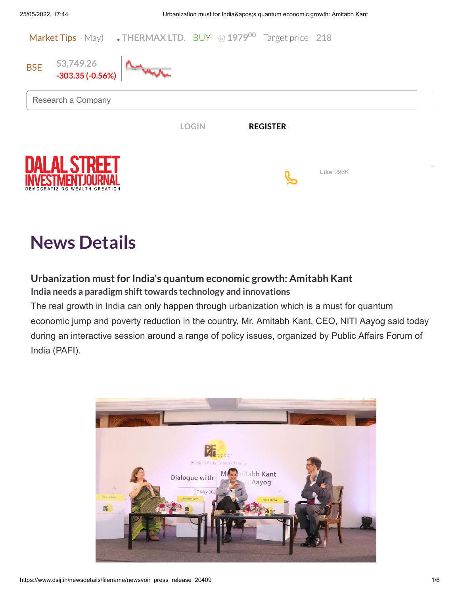

# **News Details**

# **Urbanization mustfor India's quantum economic growth: Amitabh Kant**

**India** needs a paradigm shift towards technology and innovations

The real growth in India can only happen through urbanization which is a must for quantum economic jump and poverty reduction in the country, Mr. Amitabh Kant, CEO, NITI Aayog said today during an interactive session around a range of policy issues, organized by Public Affairs Forum of India (PAFI).

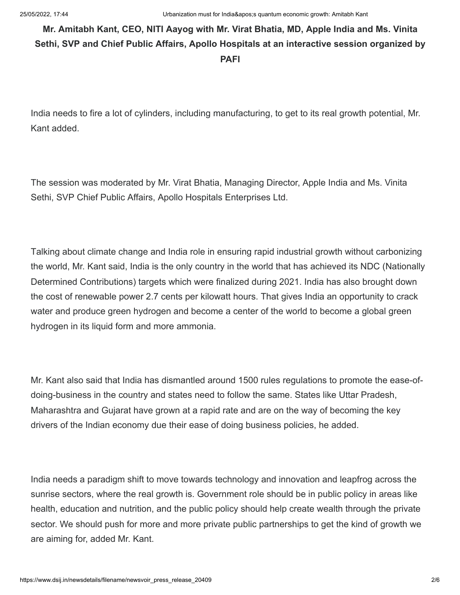# **Mr. Amitabh Kant, CEO, NITI Aayog with Mr. Virat Bhatia, MD, Apple India and Ms. Vinita Sethi, SVP and Chief Public Affairs, Apollo Hospitals at an interactive session organized by PAFI**

India needs to fire a lot of cylinders, including manufacturing, to get to its real growth potential, Mr. Kant added.

The session was moderated by Mr. Virat Bhatia, Managing Director, Apple India and Ms. Vinita Sethi, SVP Chief Public Affairs, Apollo Hospitals Enterprises Ltd.

Talking about climate change and India role in ensuring rapid industrial growth without carbonizing the world, Mr. Kant said, India is the only country in the world that has achieved its NDC (Nationally Determined Contributions) targets which were finalized during 2021. India has also brought down the cost of renewable power 2.7 cents per kilowatt hours. That gives India an opportunity to crack water and produce green hydrogen and become a center of the world to become a global green hydrogen in its liquid form and more ammonia.

Mr. Kant also said that India has dismantled around 1500 rules regulations to promote the ease-ofdoing-business in the country and states need to follow the same. States like Uttar Pradesh, Maharashtra and Gujarat have grown at a rapid rate and are on the way of becoming the key drivers of the Indian economy due their ease of doing business policies, he added.

India needs a paradigm shift to move towards technology and innovation and leapfrog across the sunrise sectors, where the real growth is. Government role should be in public policy in areas like health, education and nutrition, and the public policy should help create wealth through the private sector. We should push for more and more private public partnerships to get the kind of growth we are aiming for, added Mr. Kant.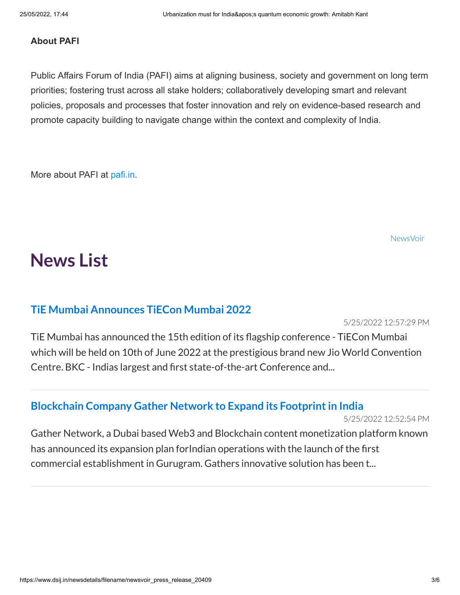## **About PAFI**

Public Affairs Forum of India (PAFI) aims at aligning business, society and government on long term priorities; fostering trust across all stake holders; collaboratively developing smart and relevant policies, proposals and processes that foster innovation and rely on evidence-based research and promote capacity building to navigate change within the context and complexity of India.

More about PAFI at [pafi.in.](https://pafi.in/)

[NewsVoir](http://www.newsvoir.com/)

# **News List**

# **TiE Mumbai [Announces](javascript:__doPostBack() TiECon Mumbai 2022**

5/25/2022 12:57:29 PM

TiE Mumbai has announced the 15th edition of its flagship conference - TiECon Mumbai which will be held on 10th of June 2022 at the prestigious brand new Jio World Convention Centre. BKC - Indias largest and first state-of-the-art Conference and...

# **Blockchain Company Gather Network to Expand its [Footprintin](javascript:__doPostBack() India**

5/25/2022 12:52:54 PM

Gather Network, a Dubai based Web3 and Blockchain content monetization platform known has announced its expansion plan forIndian operations with the launch of the first commercial establishment in Gurugram. Gathers innovative solution has been t...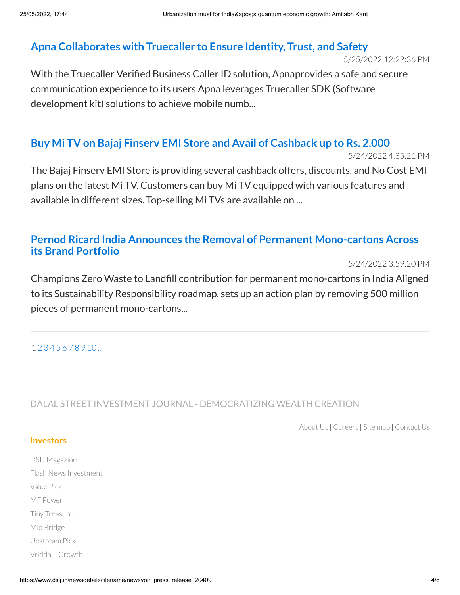# **Apna [Collaborates](javascript:__doPostBack() with Truecaller to Ensure Identity, Trust, and Safety**

5/25/2022 12:22:36 PM

With the Truecaller Verified Business Caller ID solution, Apnaprovides a safe and secure communication experience to its users Apna leverages Truecaller SDK (Software development kit) solutions to achieve mobile numb...

# **Buy Mi TV on Bajaj Finserv EMI Store and Avail of [Cashback](javascript:__doPostBack() up to Rs. 2,000**

5/24/2022 4:35:21 PM

The Bajaj Finserv EMI Store is providing several cashback offers, discounts, and No Cost EMI plans on the latest Mi TV. Customers can buy Mi TV equipped with various features and available in different sizes. Top-selling Mi TVs are available on ...

# **[Pernod Ricard India](javascript:__doPostBack() Announces the Removal of Permanent Mono-cartons Across its Brand Portfolio**

5/24/2022 3:59:20 PM

Champions Zero Waste to Landfill contribution for permanent mono-cartons in India Aligned to its Sustainability Responsibility roadmap, sets up an action plan by removing 500 million pieces of permanent mono-cartons...

### 1 [2](javascript:__doPostBack() [3](javascript:__doPostBack() [4](javascript:__doPostBack() [5](javascript:__doPostBack() [6](javascript:__doPostBack() [7](javascript:__doPostBack() [8](javascript:__doPostBack() [9](javascript:__doPostBack() [10](javascript:__doPostBack() [...](javascript:__doPostBack()

DALAL STREET INVESTMENT JOURNAL - DEMOCRATIZING WEALTH CREATION

[About](https://www.dsij.in/about-us) Us **|** [Careers](https://www.dsij.in/careers) **|** Site [map](https://www.dsij.in/dsij-sitemap) **|** [Contact](https://www.dsij.in/contact-us) Us

### **Investors**

DSIJ [Magazine](https://www.dsij.in/products/dalal-street-investment-journal) Flash News [Investment](https://www.dsij.in/products/flash-news-investment) [Value](https://www.dsij.in/valuepick) Pick MF [Power](https://www.dsij.in/mfpower) Tiny [Treasure](https://www.dsij.in/tinytreasure) Mid [Bridge](https://www.dsij.in/midbridge) [Upstream](https://www.dsij.in/upstream-pick) Pick Vriddhi - [Growth](https://www.dsij.in/vriddhi)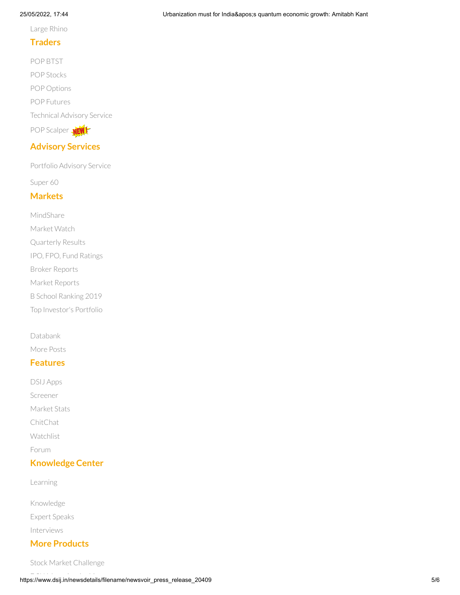### 25/05/2022, 17:44 Urbanization must for India's quantum economic growth: Amitabh Kant

Large [Rhino](https://www.dsij.in/LargeRhino)

## **Traders**

POP [BTST](https://www.dsij.in/Products/trader-pack/pop-btst) POP [Stocks](https://www.dsij.in/Products/trader-pack/pop-stocks) POP [Options](https://www.dsij.in/Products/trader-pack/pop-options) POP [Futures](https://www.dsij.in/Products/trader-pack/pop-futures) [Technical](https://www.dsij.in/Products/trader-pack/technical-advisory-service) Advisory Service POP [Scalper](https://www.dsij.in/Products/trader-pack/pop-scalper) NEW

## **Advisory Services**

Portfolio [Advisory](https://www.dsij.in/products/portfolio-advisory-service) Service

[Super](https://www.dsij.in/super60) 60

## **Markets**

[MindShare](https://www.dsij.in/research/articles/dsij-mindshare) [Market](https://www.dsij.in/market-watch) Watch [Quarterly](https://www.dsij.in/research/quarterly-results) Results IPO, FPO, Fund [Ratings](https://www.dsij.in/research/ipo) Broker [Reports](https://www.dsij.in/Markets/Broker-Reports?TabId=943&Type=Fundamental_Stock_Tips) Market [Reports](https://www.dsij.in/research/stock-tips/Market-Reports?TabId=943&type=MARKET) B School [Ranking](https://www.dsij.in/DsijIssueDetails/ArtMID/10519/ArticleID/5587/INDIAS-TOP-100-B-SCHOOLS-2019) 2019

Top [Investor's](https://www.dsij.in/portfolio) Portfolio

### [Databank](https://www.dsij.in/my-account/my-subscription/dalal-street-investment-journal/productid/111.aspx)

[More](https://www.dsij.in/Markets/More-Posts) Posts

### **Features**

DSIJ [Apps](https://www.dsij.in/apps) [Screener](https://www.dsij.in/screenerlanding) [Market](https://www.dsij.in/research/top-gainers) Stats [ChitChat](https://www.dsij.in/research/chit-chat) [Watchlist](https://www.dsij.in/research/chit-chat) [Forum](https://www.dsij.in/Forum)

# **Knowledge Center**

[Learning](https://www.dsij.in/Learning)

[Knowledge](https://www.dsij.in/Knowledge) Expert [Speaks](https://www.dsij.in/ExpertSpeak)

[Interviews](https://www.dsij.in/Interviews)

# **More Products**

Stock Market [Challenge](https://www.dsij.in/stock-market-challenge)